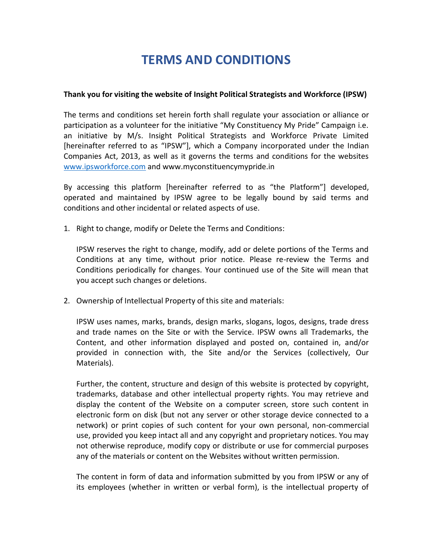## **TERMS AND CONDITIONS**

## **Thank you for visiting the website of Insight Political Strategists and Workforce (IPSW)**

The terms and conditions set herein forth shall regulate your association or alliance or participation as a volunteer for the initiative "My Constituency My Pride" Campaign i.e. an initiative by M/s. Insight Political Strategists and Workforce Private Limited [hereinafter referred to as "IPSW"], which a Company incorporated under the Indian Companies Act, 2013, as well as it governs the terms and conditions for the websites [www.ipsworkforce.com](http://www.ipsworkforce.com/) and www.myconstituencymypride.in

By accessing this platform [hereinafter referred to as "the Platform"] developed, operated and maintained by IPSW agree to be legally bound by said terms and conditions and other incidental or related aspects of use.

1. Right to change, modify or Delete the Terms and Conditions:

IPSW reserves the right to change, modify, add or delete portions of the Terms and Conditions at any time, without prior notice. Please re-review the Terms and Conditions periodically for changes. Your continued use of the Site will mean that you accept such changes or deletions.

2. Ownership of Intellectual Property of this site and materials:

IPSW uses names, marks, brands, design marks, slogans, logos, designs, trade dress and trade names on the Site or with the Service. IPSW owns all Trademarks, the Content, and other information displayed and posted on, contained in, and/or provided in connection with, the Site and/or the Services (collectively, Our Materials).

Further, the content, structure and design of this website is protected by copyright, trademarks, database and other intellectual property rights. You may retrieve and display the content of the Website on a computer screen, store such content in electronic form on disk (but not any server or other storage device connected to a network) or print copies of such content for your own personal, non-commercial use, provided you keep intact all and any copyright and proprietary notices. You may not otherwise reproduce, modify copy or distribute or use for commercial purposes any of the materials or content on the Websites without written permission.

The content in form of data and information submitted by you from IPSW or any of its employees (whether in written or verbal form), is the intellectual property of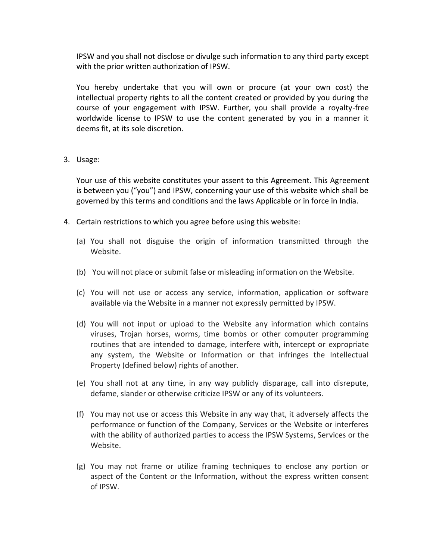IPSW and you shall not disclose or divulge such information to any third party except with the prior written authorization of IPSW.

You hereby undertake that you will own or procure (at your own cost) the intellectual property rights to all the content created or provided by you during the course of your engagement with IPSW. Further, you shall provide a royalty-free worldwide license to IPSW to use the content generated by you in a manner it deems fit, at its sole discretion.

3. Usage:

Your use of this website constitutes your assent to this Agreement. This Agreement is between you ("you") and IPSW, concerning your use of this website which shall be governed by this terms and conditions and the laws Applicable or in force in India.

- 4. Certain restrictions to which you agree before using this website:
	- (a) You shall not disguise the origin of information transmitted through the Website.
	- (b) You will not place or submit false or misleading information on the Website.
	- (c) You will not use or access any service, information, application or software available via the Website in a manner not expressly permitted by IPSW.
	- (d) You will not input or upload to the Website any information which contains viruses, Trojan horses, worms, time bombs or other computer programming routines that are intended to damage, interfere with, intercept or expropriate any system, the Website or Information or that infringes the Intellectual Property (defined below) rights of another.
	- (e) You shall not at any time, in any way publicly disparage, call into disrepute, defame, slander or otherwise criticize IPSW or any of its volunteers.
	- (f) You may not use or access this Website in any way that, it adversely affects the performance or function of the Company, Services or the Website or interferes with the ability of authorized parties to access the IPSW Systems, Services or the Website.
	- (g) You may not frame or utilize framing techniques to enclose any portion or aspect of the Content or the Information, without the express written consent of IPSW.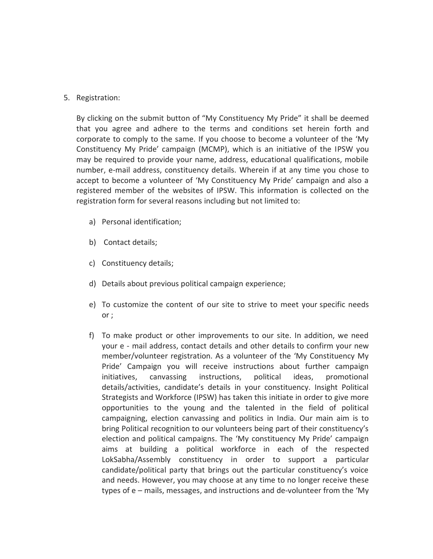## 5. Registration:

By clicking on the submit button of "My Constituency My Pride" it shall be deemed that you agree and adhere to the terms and conditions set herein forth and corporate to comply to the same. If you choose to become a volunteer of the 'My Constituency My Pride' campaign (MCMP), which is an initiative of the IPSW you may be required to provide your name, address, educational qualifications, mobile number, e-mail address, constituency details. Wherein if at any time you chose to accept to become a volunteer of 'My Constituency My Pride' campaign and also a registered member of the websites of IPSW. This information is collected on the registration form for several reasons including but not limited to:

- a) Personal identification;
- b) Contact details;
- c) Constituency details;
- d) Details about previous political campaign experience;
- e) To customize the content of our site to strive to meet your specific needs or ;
- f) To make product or other improvements to our site. In addition, we need your e - mail address, contact details and other details to confirm your new member/volunteer registration. As a volunteer of the 'My Constituency My Pride' Campaign you will receive instructions about further campaign initiatives, canvassing instructions, political ideas, promotional details/activities, candidate's details in your constituency. Insight Political Strategists and Workforce (IPSW) has taken this initiate in order to give more opportunities to the young and the talented in the field of political campaigning, election canvassing and politics in India. Our main aim is to bring Political recognition to our volunteers being part of their constituency's election and political campaigns. The 'My constituency My Pride' campaign aims at building a political workforce in each of the respected LokSabha/Assembly constituency in order to support a particular candidate/political party that brings out the particular constituency's voice and needs. However, you may choose at any time to no longer receive these types of e – mails, messages, and instructions and de-volunteer from the 'My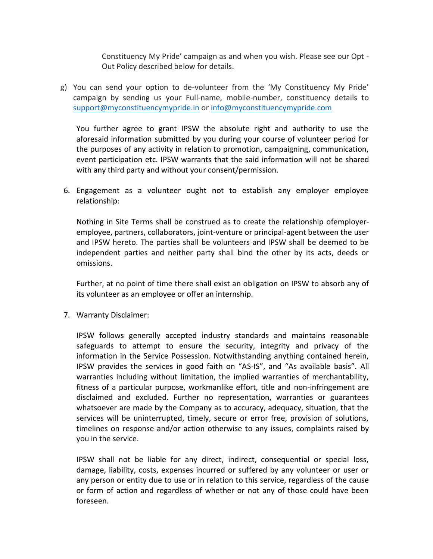Constituency My Pride' campaign as and when you wish. Please see our Opt - Out Policy described below for details.

g) You can send your option to de-volunteer from the 'My Constituency My Pride' campaign by sending us your Full-name, mobile-number, constituency details to [support@myconstituencymypride.in](mailto:support@myconstituencymypride.in) or [info@myconstituencymypride.com](mailto:info@myconstituencymypride.com)

You further agree to grant IPSW the absolute right and authority to use the aforesaid information submitted by you during your course of volunteer period for the purposes of any activity in relation to promotion, campaigning, communication, event participation etc. IPSW warrants that the said information will not be shared with any third party and without your consent/permission.

6. Engagement as a volunteer ought not to establish any employer employee relationship:

Nothing in Site Terms shall be construed as to create the relationship ofemployeremployee, partners, collaborators, joint-venture or principal-agent between the user and IPSW hereto. The parties shall be volunteers and IPSW shall be deemed to be independent parties and neither party shall bind the other by its acts, deeds or omissions.

Further, at no point of time there shall exist an obligation on IPSW to absorb any of its volunteer as an employee or offer an internship.

7. Warranty Disclaimer:

IPSW follows generally accepted industry standards and maintains reasonable safeguards to attempt to ensure the security, integrity and privacy of the information in the Service Possession. Notwithstanding anything contained herein, IPSW provides the services in good faith on "AS-IS", and "As available basis". All warranties including without limitation, the implied warranties of merchantability, fitness of a particular purpose, workmanlike effort, title and non-infringement are disclaimed and excluded. Further no representation, warranties or guarantees whatsoever are made by the Company as to accuracy, adequacy, situation, that the services will be uninterrupted, timely, secure or error free, provision of solutions, timelines on response and/or action otherwise to any issues, complaints raised by you in the service.

IPSW shall not be liable for any direct, indirect, consequential or special loss, damage, liability, costs, expenses incurred or suffered by any volunteer or user or any person or entity due to use or in relation to this service, regardless of the cause or form of action and regardless of whether or not any of those could have been foreseen.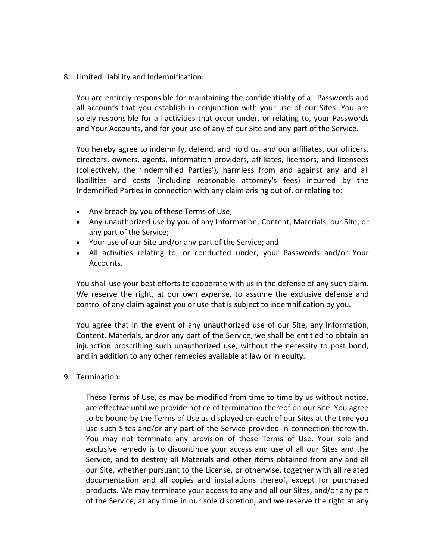8. Limited Liability and Indemnification:

You are entirely responsible for maintaining the confidentiality of all Passwords and all accounts that you establish in conjunction with your use of our Sites. You are solely responsible for all activities that occur under, or relating to, your Passwords and Your Accounts, and for your use of any of our Site and any part of the Service.

You hereby agree to indemnify, defend, and hold us, and our affiliates, our officers, directors, owners, agents, information providers, affiliates, licensors, and licensees (collectively, the 'Indemnified Parties'), harmless from and against any and all liabilities and costs (including reasonable attorney's fees) incurred by the Indemnified Parties in connection with any claim arising out of, or relating to:

- Any breach by you of these Terms of Use;
- Any unauthorized use by you of any Information, Content, Materials, our Site, or any part of the Service;
- Your use of our Site and/or any part of the Service; and
- All activities relating to, or conducted under, your Passwords and/or Your Accounts.

You shall use your best efforts to cooperate with us in the defense of any such claim. We reserve the right, at our own expense, to assume the exclusive defense and control of any claim against you or use that is subject to indemnification by you.

You agree that in the event of any unauthorized use of our Site, any Information, Content, Materials, and/or any part of the Service, we shall be entitled to obtain an injunction proscribing such unauthorized use, without the necessity to post bond, and in addition to any other remedies available at law or in equity.

9. Termination:

These Terms of Use, as may be modified from time to time by us without notice, are effective until we provide notice of termination thereof on our Site. You agree to be bound by the Terms of Use as displayed on each of our Sites at the time you use such Sites and/or any part of the Service provided in connection therewith. You may not terminate any provision of these Terms of Use. Your sole and exclusive remedy is to discontinue your access and use of all our Sites and the Service, and to destroy all Materials and other items obtained from any and all our Site, whether pursuant to the License, or otherwise, together with all related documentation and all copies and installations thereof, except for purchased products. We may terminate your access to any and all our Sites, and/or any part of the Service, at any time in our sole discretion, and we reserve the right at any